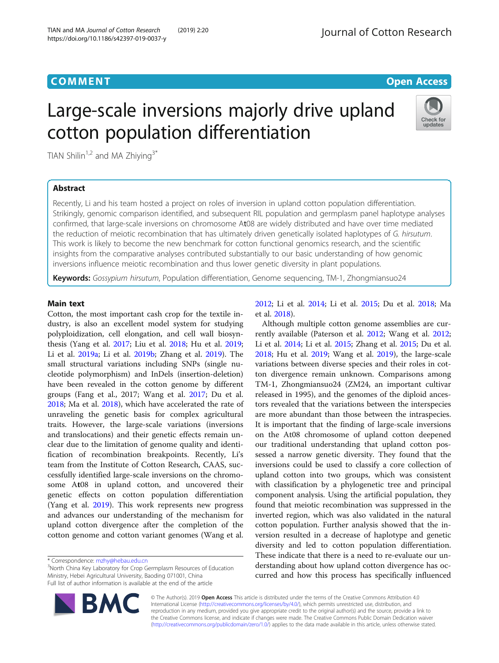# **COMMENT COMMENT COMMENT**

# Large-scale inversions majorly drive upland cotton population differentiation



TIAN Shilin<sup>1,2</sup> and MA Zhiying<sup>3\*</sup>

# Abstract

Recently, Li and his team hosted a project on roles of inversion in upland cotton population differentiation. Strikingly, genomic comparison identified, and subsequent RIL population and germplasm panel haplotype analyses confirmed, that large-scale inversions on chromosome At08 are widely distributed and have over time mediated the reduction of meiotic recombination that has ultimately driven genetically isolated haplotypes of G. hirsutum. This work is likely to become the new benchmark for cotton functional genomics research, and the scientific insights from the comparative analyses contributed substantially to our basic understanding of how genomic inversions influence meiotic recombination and thus lower genetic diversity in plant populations.

Keywords: Gossypium hirsutum, Population differentiation, Genome sequencing, TM-1, Zhongmiansuo24

## Main text

Cotton, the most important cash crop for the textile industry, is also an excellent model system for studying polyploidization, cell elongation, and cell wall biosynthesis (Yang et al. [2017;](#page-1-0) Liu et al. [2018;](#page-1-0) Hu et al. [2019](#page-1-0); Li et al. [2019a](#page-1-0); Li et al. [2019b;](#page-1-0) Zhang et al. [2019](#page-1-0)). The small structural variations including SNPs (single nucleotide polymorphism) and InDels (insertion-deletion) have been revealed in the cotton genome by different groups (Fang et al., 2017; Wang et al. [2017](#page-1-0); Du et al. [2018](#page-1-0); Ma et al. [2018](#page-1-0)), which have accelerated the rate of unraveling the genetic basis for complex agricultural traits. However, the large-scale variations (inversions and translocations) and their genetic effects remain unclear due to the limitation of genome quality and identification of recombination breakpoints. Recently, Li's team from the Institute of Cotton Research, CAAS, successfully identified large-scale inversions on the chromosome At08 in upland cotton, and uncovered their genetic effects on cotton population differentiation (Yang et al. [2019\)](#page-1-0). This work represents new progress and advances our understanding of the mechanism for upland cotton divergence after the completion of the cotton genome and cotton variant genomes (Wang et al.

**BM** 

<sup>3</sup>North China Key Laboratory for Crop Germplasm Resources of Education Ministry, Hebei Agricultural University, Baoding 071001, China Full list of author information is available at the end of the article

[2012](#page-1-0); Li et al. [2014;](#page-1-0) Li et al. [2015;](#page-1-0) Du et al. [2018;](#page-1-0) Ma et al. [2018\)](#page-1-0).

Although multiple cotton genome assemblies are currently available (Paterson et al. [2012;](#page-1-0) Wang et al. [2012](#page-1-0); Li et al. [2014](#page-1-0); Li et al. [2015](#page-1-0); Zhang et al. [2015](#page-1-0); Du et al. [2018](#page-1-0); Hu et al. [2019](#page-1-0); Wang et al. [2019\)](#page-1-0), the large-scale variations between diverse species and their roles in cotton divergence remain unknown. Comparisons among TM-1, Zhongmiansuo24 (ZM24, an important cultivar released in 1995), and the genomes of the diploid ancestors revealed that the variations between the interspecies are more abundant than those between the intraspecies. It is important that the finding of large-scale inversions on the At08 chromosome of upland cotton deepened our traditional understanding that upland cotton possessed a narrow genetic diversity. They found that the inversions could be used to classify a core collection of upland cotton into two groups, which was consistent with classification by a phylogenetic tree and principal component analysis. Using the artificial population, they found that meiotic recombination was suppressed in the inverted region, which was also validated in the natural cotton population. Further analysis showed that the inversion resulted in a decrease of haplotype and genetic diversity and led to cotton population differentiation. These indicate that there is a need to re-evaluate our understanding about how upland cotton divergence has occurred and how this process has specifically influenced

© The Author(s). 2019 Open Access This article is distributed under the terms of the Creative Commons Attribution 4.0 International License [\(http://creativecommons.org/licenses/by/4.0/](http://creativecommons.org/licenses/by/4.0/)), which permits unrestricted use, distribution, and reproduction in any medium, provided you give appropriate credit to the original author(s) and the source, provide a link to the Creative Commons license, and indicate if changes were made. The Creative Commons Public Domain Dedication waiver [\(http://creativecommons.org/publicdomain/zero/1.0/](http://creativecommons.org/publicdomain/zero/1.0/)) applies to the data made available in this article, unless otherwise stated.

<sup>\*</sup> Correspondence: [mzhy@hebau.edu.cn](mailto:mzhy@hebau.edu.cn) <sup>3</sup>